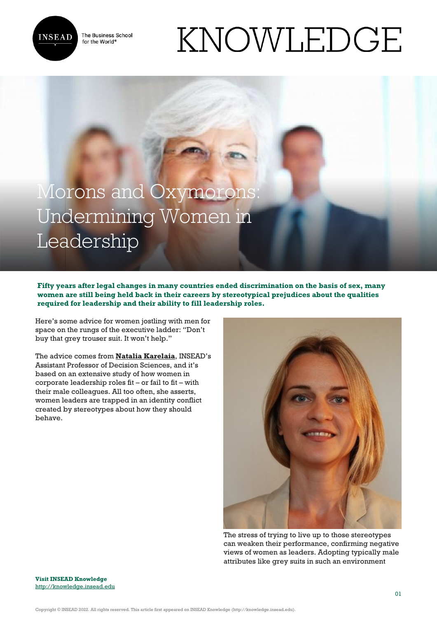

The Business School for the World<sup>®</sup>

# KNOWLEDGE

# Morons and Oxymorons: Undermining Women in Leadership

**Fifty years after legal changes in many countries ended discrimination on the basis of sex, many women are still being held back in their careers by stereotypical prejudices about the qualities required for leadership and their ability to fill leadership roles.** 

Here's some advice for women jostling with men for space on the rungs of the executive ladder: "Don't buy that grey trouser suit. It won't help."

The advice comes from **[Natalia Karelaia](http://www.insead.edu/facultyresearch/faculty/profiles/nkarelaia/)**, INSEAD's Assistant Professor of Decision Sciences, and it's based on an extensive study of how women in corporate leadership roles fit – or fail to fit – with their male colleagues. All too often, she asserts, women leaders are trapped in an identity conflict created by stereotypes about how they should behave.



The stress of trying to live up to those stereotypes can weaken their performance, confirming negative views of women as leaders. Adopting typically male attributes like grey suits in such an environment

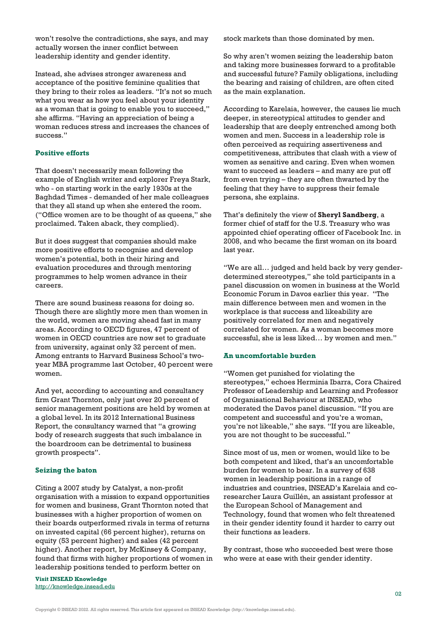won't resolve the contradictions, she says, and may actually worsen the inner conflict between leadership identity and gender identity.

Instead, she advises stronger awareness and acceptance of the positive feminine qualities that they bring to their roles as leaders. "It's not so much what you wear as how you feel about your identity as a woman that is going to enable you to succeed," she affirms. "Having an appreciation of being a woman reduces stress and increases the chances of success."

## **Positive efforts**

That doesn't necessarily mean following the example of English writer and explorer Freya Stark, who - on starting work in the early 1930s at the Baghdad Times - demanded of her male colleagues that they all stand up when she entered the room. ("Office women are to be thought of as queens," she proclaimed. Taken aback, they complied).

But it does suggest that companies should make more positive efforts to recognise and develop women's potential, both in their hiring and evaluation procedures and through mentoring programmes to help women advance in their careers.

There are sound business reasons for doing so. Though there are slightly more men than women in the world, women are moving ahead fast in many areas. According to OECD figures, 47 percent of women in OECD countries are now set to graduate from university, against only 32 percent of men. Among entrants to Harvard Business School's twoyear MBA programme last October, 40 percent were women.

And yet, according to accounting and consultancy firm Grant Thornton, only just over 20 percent of senior management positions are held by women at a global level. In its 2012 International Business Report, the consultancy warned that "a growing body of research suggests that such imbalance in the boardroom can be detrimental to business growth prospects".

## **Seizing the baton**

Citing a 2007 study by Catalyst, a non-profit organisation with a mission to expand opportunities for women and business, Grant Thornton noted that businesses with a higher proportion of women on their boards outperformed rivals in terms of returns on invested capital (66 percent higher), returns on equity (53 percent higher) and sales (42 percent higher). Another report, by McKinsey & Company, found that firms with higher proportions of women in leadership positions tended to perform better on

**Visit INSEAD Knowledge** <http://knowledge.insead.edu> stock markets than those dominated by men.

So why aren't women seizing the leadership baton and taking more businesses forward to a profitable and successful future? Family obligations, including the bearing and raising of children, are often cited as the main explanation.

According to Karelaia, however, the causes lie much deeper, in stereotypical attitudes to gender and leadership that are deeply entrenched among both women and men. Success in a leadership role is often perceived as requiring assertiveness and competitiveness, attributes that clash with a view of women as sensitive and caring. Even when women want to succeed as leaders – and many are put off from even trying – they are often thwarted by the feeling that they have to suppress their female persona, she explains.

That's definitely the view of **Sheryl Sandberg**, a former chief of staff for the U.S. Treasury who was appointed chief operating officer of Facebook Inc. in 2008, and who became the first woman on its board last year.

"We are all… judged and held back by very genderdetermined stereotypes," she told participants in a panel discussion on women in business at the World Economic Forum in Davos earlier this year. "The main difference between men and women in the workplace is that success and likeability are positively correlated for men and negatively correlated for women. As a woman becomes more successful, she is less liked… by women and men."

#### **An uncomfortable burden**

"Women get punished for violating the stereotypes," echoes Herminia Ibarra, Cora Chaired Professor of Leadership and Learning and Professor of Organisational Behaviour at INSEAD, who moderated the Davos panel discussion. "If you are competent and successful and you're a woman, you're not likeable," she says. "If you are likeable, you are not thought to be successful."

Since most of us, men or women, would like to be both competent and liked, that's an uncomfortable burden for women to bear. In a survey of 638 women in leadership positions in a range of industries and countries, INSEAD's Karelaia and coresearcher Laura Guillén, an assistant professor at the European School of Management and Technology, found that women who felt threatened in their gender identity found it harder to carry out their functions as leaders.

By contrast, those who succeeded best were those who were at ease with their gender identity.

Copyright © INSEAD 2022. All rights reserved. This article first appeared on INSEAD Knowledge (http://knowledge.insead.edu).